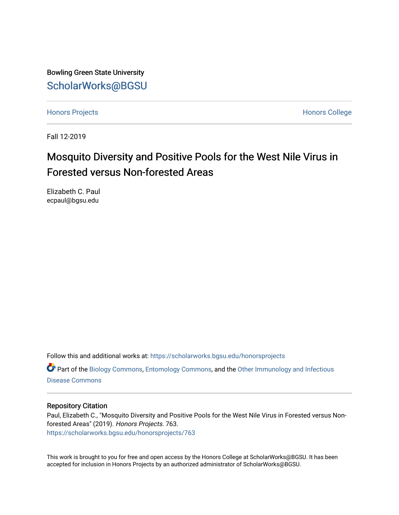Bowling Green State University [ScholarWorks@BGSU](https://scholarworks.bgsu.edu/) 

[Honors Projects](https://scholarworks.bgsu.edu/honorsprojects) **Honors** College

Fall 12-2019

# Mosquito Diversity and Positive Pools for the West Nile Virus in Forested versus Non-forested Areas

Elizabeth C. Paul ecpaul@bgsu.edu

Follow this and additional works at: [https://scholarworks.bgsu.edu/honorsprojects](https://scholarworks.bgsu.edu/honorsprojects?utm_source=scholarworks.bgsu.edu%2Fhonorsprojects%2F763&utm_medium=PDF&utm_campaign=PDFCoverPages) 

Part of the [Biology Commons,](http://network.bepress.com/hgg/discipline/41?utm_source=scholarworks.bgsu.edu%2Fhonorsprojects%2F763&utm_medium=PDF&utm_campaign=PDFCoverPages) [Entomology Commons,](http://network.bepress.com/hgg/discipline/83?utm_source=scholarworks.bgsu.edu%2Fhonorsprojects%2F763&utm_medium=PDF&utm_campaign=PDFCoverPages) and the [Other Immunology and Infectious](http://network.bepress.com/hgg/discipline/40?utm_source=scholarworks.bgsu.edu%2Fhonorsprojects%2F763&utm_medium=PDF&utm_campaign=PDFCoverPages)  [Disease Commons](http://network.bepress.com/hgg/discipline/40?utm_source=scholarworks.bgsu.edu%2Fhonorsprojects%2F763&utm_medium=PDF&utm_campaign=PDFCoverPages) 

# Repository Citation

Paul, Elizabeth C., "Mosquito Diversity and Positive Pools for the West Nile Virus in Forested versus Nonforested Areas" (2019). Honors Projects. 763. [https://scholarworks.bgsu.edu/honorsprojects/763](https://scholarworks.bgsu.edu/honorsprojects/763?utm_source=scholarworks.bgsu.edu%2Fhonorsprojects%2F763&utm_medium=PDF&utm_campaign=PDFCoverPages) 

This work is brought to you for free and open access by the Honors College at ScholarWorks@BGSU. It has been accepted for inclusion in Honors Projects by an authorized administrator of ScholarWorks@BGSU.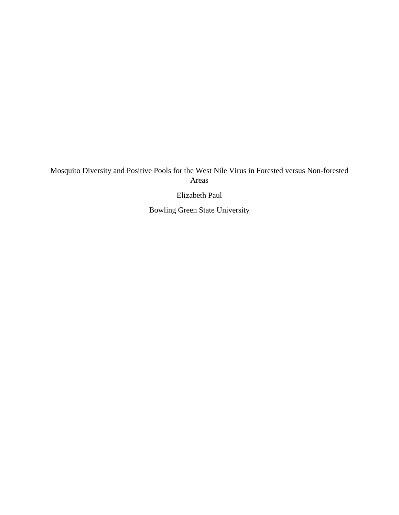Mosquito Diversity and Positive Pools for the West Nile Virus in Forested versus Non-forested Areas

Elizabeth Paul

Bowling Green State University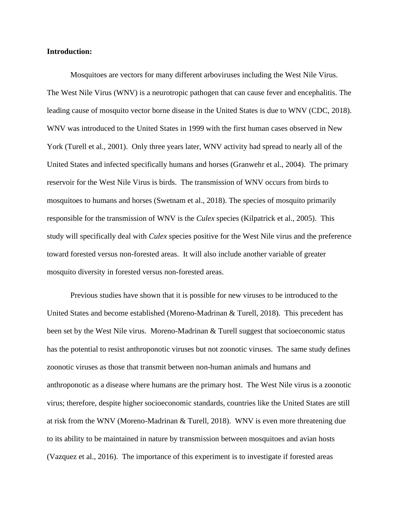## **Introduction:**

Mosquitoes are vectors for many different arboviruses including the West Nile Virus. The West Nile Virus (WNV) is a neurotropic pathogen that can cause fever and encephalitis. The leading cause of mosquito vector borne disease in the United States is due to WNV (CDC, 2018). WNV was introduced to the United States in 1999 with the first human cases observed in New York (Turell et al., 2001). Only three years later, WNV activity had spread to nearly all of the United States and infected specifically humans and horses (Granwehr et al., 2004). The primary reservoir for the West Nile Virus is birds. The transmission of WNV occurs from birds to mosquitoes to humans and horses (Swetnam et al., 2018). The species of mosquito primarily responsible for the transmission of WNV is the *Culex* species (Kilpatrick et al., 2005). This study will specifically deal with *Culex* species positive for the West Nile virus and the preference toward forested versus non-forested areas. It will also include another variable of greater mosquito diversity in forested versus non-forested areas.

Previous studies have shown that it is possible for new viruses to be introduced to the United States and become established (Moreno-Madrinan & Turell, 2018). This precedent has been set by the West Nile virus. Moreno-Madrinan & Turell suggest that socioeconomic status has the potential to resist anthroponotic viruses but not zoonotic viruses. The same study defines zoonotic viruses as those that transmit between non-human animals and humans and anthroponotic as a disease where humans are the primary host. The West Nile virus is a zoonotic virus; therefore, despite higher socioeconomic standards, countries like the United States are still at risk from the WNV (Moreno-Madrinan & Turell, 2018). WNV is even more threatening due to its ability to be maintained in nature by transmission between mosquitoes and avian hosts (Vazquez et al., 2016). The importance of this experiment is to investigate if forested areas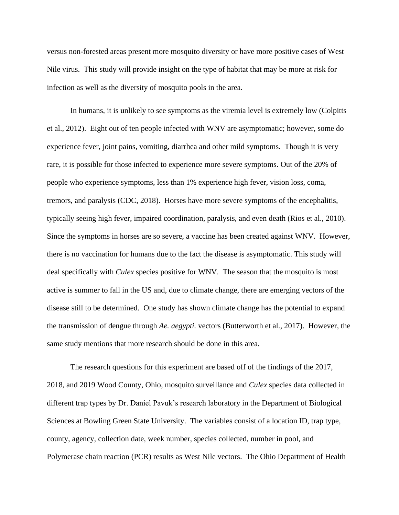versus non-forested areas present more mosquito diversity or have more positive cases of West Nile virus. This study will provide insight on the type of habitat that may be more at risk for infection as well as the diversity of mosquito pools in the area.

In humans, it is unlikely to see symptoms as the viremia level is extremely low (Colpitts et al., 2012). Eight out of ten people infected with WNV are asymptomatic; however, some do experience fever, joint pains, vomiting, diarrhea and other mild symptoms. Though it is very rare, it is possible for those infected to experience more severe symptoms. Out of the 20% of people who experience symptoms, less than 1% experience high fever, vision loss, coma, tremors, and paralysis (CDC, 2018). Horses have more severe symptoms of the encephalitis, typically seeing high fever, impaired coordination, paralysis, and even death (Rios et al., 2010). Since the symptoms in horses are so severe, a vaccine has been created against WNV. However, there is no vaccination for humans due to the fact the disease is asymptomatic. This study will deal specifically with *Culex* species positive for WNV. The season that the mosquito is most active is summer to fall in the US and, due to climate change, there are emerging vectors of the disease still to be determined. One study has shown climate change has the potential to expand the transmission of dengue through *Ae. aegypti.* vectors (Butterworth et al., 2017). However, the same study mentions that more research should be done in this area.

The research questions for this experiment are based off of the findings of the 2017, 2018, and 2019 Wood County, Ohio, mosquito surveillance and *Culex* species data collected in different trap types by Dr. Daniel Pavuk's research laboratory in the Department of Biological Sciences at Bowling Green State University. The variables consist of a location ID, trap type, county, agency, collection date, week number, species collected, number in pool, and Polymerase chain reaction (PCR) results as West Nile vectors. The Ohio Department of Health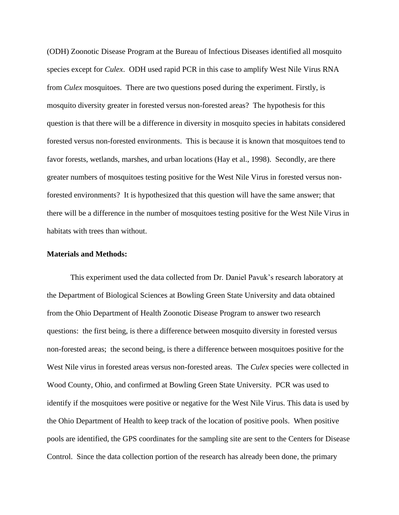(ODH) Zoonotic Disease Program at the Bureau of Infectious Diseases identified all mosquito species except for *Culex*. ODH used rapid PCR in this case to amplify West Nile Virus RNA from *Culex* mosquitoes. There are two questions posed during the experiment. Firstly, is mosquito diversity greater in forested versus non-forested areas? The hypothesis for this question is that there will be a difference in diversity in mosquito species in habitats considered forested versus non-forested environments. This is because it is known that mosquitoes tend to favor forests, wetlands, marshes, and urban locations (Hay et al., 1998). Secondly, are there greater numbers of mosquitoes testing positive for the West Nile Virus in forested versus nonforested environments? It is hypothesized that this question will have the same answer; that there will be a difference in the number of mosquitoes testing positive for the West Nile Virus in habitats with trees than without.

#### **Materials and Methods:**

This experiment used the data collected from Dr. Daniel Pavuk's research laboratory at the Department of Biological Sciences at Bowling Green State University and data obtained from the Ohio Department of Health Zoonotic Disease Program to answer two research questions: the first being, is there a difference between mosquito diversity in forested versus non-forested areas; the second being, is there a difference between mosquitoes positive for the West Nile virus in forested areas versus non-forested areas. The *Culex* species were collected in Wood County, Ohio, and confirmed at Bowling Green State University. PCR was used to identify if the mosquitoes were positive or negative for the West Nile Virus. This data is used by the Ohio Department of Health to keep track of the location of positive pools. When positive pools are identified, the GPS coordinates for the sampling site are sent to the Centers for Disease Control. Since the data collection portion of the research has already been done, the primary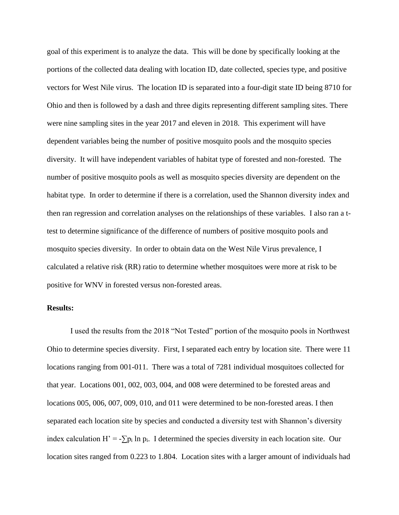goal of this experiment is to analyze the data. This will be done by specifically looking at the portions of the collected data dealing with location ID, date collected, species type, and positive vectors for West Nile virus. The location ID is separated into a four-digit state ID being 8710 for Ohio and then is followed by a dash and three digits representing different sampling sites. There were nine sampling sites in the year 2017 and eleven in 2018. This experiment will have dependent variables being the number of positive mosquito pools and the mosquito species diversity. It will have independent variables of habitat type of forested and non-forested. The number of positive mosquito pools as well as mosquito species diversity are dependent on the habitat type. In order to determine if there is a correlation, used the Shannon diversity index and then ran regression and correlation analyses on the relationships of these variables. I also ran a ttest to determine significance of the difference of numbers of positive mosquito pools and mosquito species diversity. In order to obtain data on the West Nile Virus prevalence, I calculated a relative risk (RR) ratio to determine whether mosquitoes were more at risk to be positive for WNV in forested versus non-forested areas.

# **Results:**

I used the results from the 2018 "Not Tested" portion of the mosquito pools in Northwest Ohio to determine species diversity. First, I separated each entry by location site. There were 11 locations ranging from 001-011. There was a total of 7281 individual mosquitoes collected for that year. Locations 001, 002, 003, 004, and 008 were determined to be forested areas and locations 005, 006, 007, 009, 010, and 011 were determined to be non-forested areas. I then separated each location site by species and conducted a diversity test with Shannon's diversity index calculation H' = - $\sum p_i \ln p_i$ . I determined the species diversity in each location site. Our location sites ranged from 0.223 to 1.804. Location sites with a larger amount of individuals had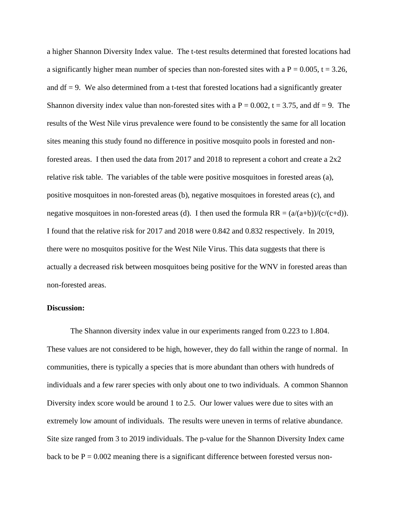a higher Shannon Diversity Index value. The t-test results determined that forested locations had a significantly higher mean number of species than non-forested sites with a  $P = 0.005$ ,  $t = 3.26$ , and  $df = 9$ . We also determined from a t-test that forested locations had a significantly greater Shannon diversity index value than non-forested sites with a  $P = 0.002$ ,  $t = 3.75$ , and df = 9. The results of the West Nile virus prevalence were found to be consistently the same for all location sites meaning this study found no difference in positive mosquito pools in forested and nonforested areas. I then used the data from 2017 and 2018 to represent a cohort and create a 2x2 relative risk table. The variables of the table were positive mosquitoes in forested areas (a), positive mosquitoes in non-forested areas (b), negative mosquitoes in forested areas (c), and negative mosquitoes in non-forested areas (d). I then used the formula  $RR = (\alpha/(a+b))/(c/(c+d))$ . I found that the relative risk for 2017 and 2018 were 0.842 and 0.832 respectively. In 2019, there were no mosquitos positive for the West Nile Virus. This data suggests that there is actually a decreased risk between mosquitoes being positive for the WNV in forested areas than non-forested areas.

## **Discussion:**

The Shannon diversity index value in our experiments ranged from 0.223 to 1.804. These values are not considered to be high, however, they do fall within the range of normal. In communities, there is typically a species that is more abundant than others with hundreds of individuals and a few rarer species with only about one to two individuals. A common Shannon Diversity index score would be around 1 to 2.5. Our lower values were due to sites with an extremely low amount of individuals. The results were uneven in terms of relative abundance. Site size ranged from 3 to 2019 individuals. The p-value for the Shannon Diversity Index came back to be  $P = 0.002$  meaning there is a significant difference between forested versus non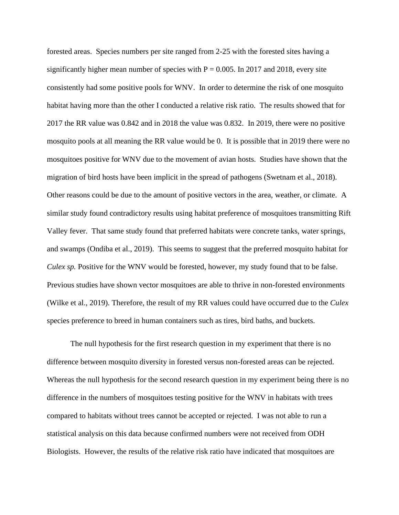forested areas. Species numbers per site ranged from 2-25 with the forested sites having a significantly higher mean number of species with  $P = 0.005$ . In 2017 and 2018, every site consistently had some positive pools for WNV. In order to determine the risk of one mosquito habitat having more than the other I conducted a relative risk ratio. The results showed that for 2017 the RR value was 0.842 and in 2018 the value was 0.832. In 2019, there were no positive mosquito pools at all meaning the RR value would be 0. It is possible that in 2019 there were no mosquitoes positive for WNV due to the movement of avian hosts. Studies have shown that the migration of bird hosts have been implicit in the spread of pathogens (Swetnam et al., 2018). Other reasons could be due to the amount of positive vectors in the area, weather, or climate. A similar study found contradictory results using habitat preference of mosquitoes transmitting Rift Valley fever. That same study found that preferred habitats were concrete tanks, water springs, and swamps (Ondiba et al., 2019). This seems to suggest that the preferred mosquito habitat for *Culex sp.* Positive for the WNV would be forested, however, my study found that to be false. Previous studies have shown vector mosquitoes are able to thrive in non-forested environments (Wilke et al., 2019). Therefore, the result of my RR values could have occurred due to the *Culex* species preference to breed in human containers such as tires, bird baths, and buckets.

The null hypothesis for the first research question in my experiment that there is no difference between mosquito diversity in forested versus non-forested areas can be rejected. Whereas the null hypothesis for the second research question in my experiment being there is no difference in the numbers of mosquitoes testing positive for the WNV in habitats with trees compared to habitats without trees cannot be accepted or rejected. I was not able to run a statistical analysis on this data because confirmed numbers were not received from ODH Biologists. However, the results of the relative risk ratio have indicated that mosquitoes are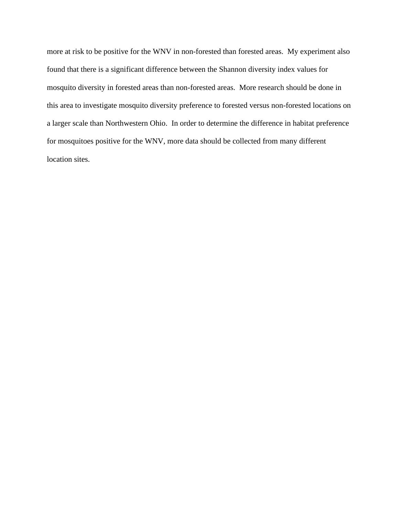more at risk to be positive for the WNV in non-forested than forested areas. My experiment also found that there is a significant difference between the Shannon diversity index values for mosquito diversity in forested areas than non-forested areas. More research should be done in this area to investigate mosquito diversity preference to forested versus non-forested locations on a larger scale than Northwestern Ohio. In order to determine the difference in habitat preference for mosquitoes positive for the WNV, more data should be collected from many different location sites.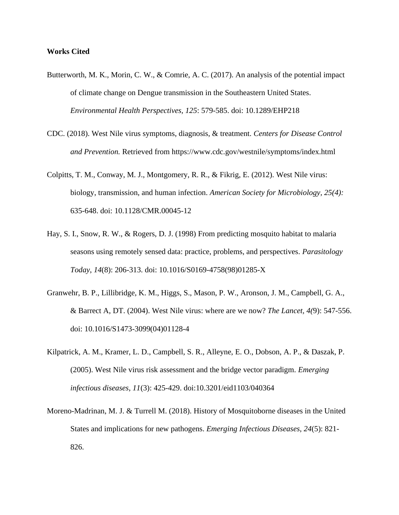## **Works Cited**

- Butterworth, M. K., Morin, C. W., & Comrie, A. C. (2017). An analysis of the potential impact of climate change on Dengue transmission in the Southeastern United States. *Environmental Health Perspectives, 125*: 579-585. doi: [10.1289/EHP218](http://dx.doi.org/10.1289/EHP218)
- CDC. (2018). West Nile virus symptoms, diagnosis, & treatment. *Centers for Disease Control and Prevention.* Retrieved from<https://www.cdc.gov/westnile/symptoms/index.html>
- Colpitts, T. M., Conway, M. J., Montgomery, R. R., & Fikrig, E. (2012). West Nile virus: biology, transmission, and human infection. *American Society for Microbiology, 25(4):*  635-648. doi: 10.1128/CMR.00045-12
- Hay, S. I., Snow, R. W., & Rogers, D. J. (1998) From predicting mosquito habitat to malaria seasons using remotely sensed data: practice, problems, and perspectives. *Parasitology Today*, *14*(8): 206-313. doi: [10.1016/S0169-4758\(98\)01285-X](https://doi.org/10.1016/S0169-4758(98)01285-X)
- Granwehr, B. P., Lillibridge, K. M., Higgs, S., Mason, P. W., Aronson, J. M., Campbell, G. A., & Barrect A, DT. (2004). West Nile virus: where are we now? *The Lancet, 4(*9): 547-556. doi: [10.1016/S1473-3099\(04\)01128-4](https://doi.org/10.1016/S1473-3099(04)01128-4)
- Kilpatrick, A. M., Kramer, L. D., Campbell, S. R., Alleyne, E. O., Dobson, A. P., & Daszak, P. (2005). West Nile virus risk assessment and the bridge vector paradigm. *Emerging infectious diseases, 11*(3): 425-429. doi:10.3201/eid1103/040364
- Moreno-Madrinan, M. J. & Turrell M. (2018). History of Mosquitoborne diseases in the United States and implications for new pathogens. *Emerging Infectious Diseases, 24*(5): 821- 826.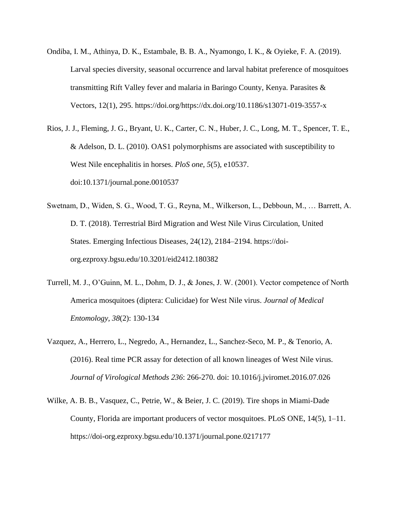- Ondiba, I. M., Athinya, D. K., Estambale, B. B. A., Nyamongo, I. K., & Oyieke, F. A. (2019). Larval species diversity, seasonal occurrence and larval habitat preference of mosquitoes transmitting Rift Valley fever and malaria in Baringo County, Kenya. Parasites & Vectors, 12(1), 295. https://doi.org/https://dx.doi.org/10.1186/s13071-019-3557-x
- Rios, J. J., Fleming, J. G., Bryant, U. K., Carter, C. N., Huber, J. C., Long, M. T., Spencer, T. E., & Adelson, D. L. (2010). OAS1 polymorphisms are associated with susceptibility to West Nile encephalitis in horses. *PloS one*, *5*(5), e10537. doi:10.1371/journal.pone.0010537
- Swetnam, D., Widen, S. G., Wood, T. G., Reyna, M., Wilkerson, L., Debboun, M., … Barrett, A. D. T. (2018). Terrestrial Bird Migration and West Nile Virus Circulation, United States. Emerging Infectious Diseases, 24(12), 2184–2194. https://doiorg.ezproxy.bgsu.edu/10.3201/eid2412.180382
- Turrell, M. J., O'Guinn, M. L., Dohm, D. J., & Jones, J. W. (2001). Vector competence of North America mosquitoes (diptera: Culicidae) for West Nile virus. *Journal of Medical Entomology, 38*(2): 130-134
- Vazquez, A., Herrero, L., Negredo, A., Hernandez, L., Sanchez-Seco, M. P., & Tenorio, A. (2016). Real time PCR assay for detection of all known lineages of West Nile virus. *Journal of Virological Methods 236*: 266-270. doi: [10.1016/j.jviromet.2016.07.026](https://doi.org/10.1016/j.jviromet.2016.07.026)
- Wilke, A. B. B., Vasquez, C., Petrie, W., & Beier, J. C. (2019). Tire shops in Miami-Dade County, Florida are important producers of vector mosquitoes. PLoS ONE, 14(5), 1–11. https://doi-org.ezproxy.bgsu.edu/10.1371/journal.pone.0217177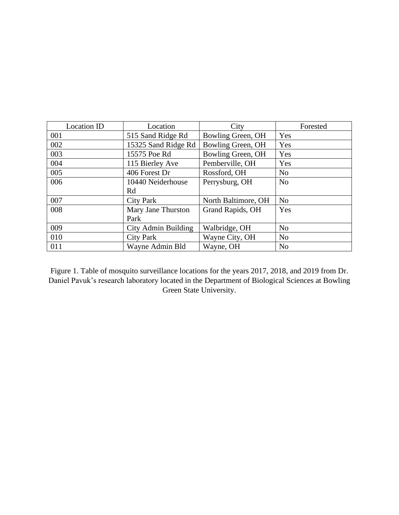| <b>Location ID</b> | Location            | City                | Forested       |
|--------------------|---------------------|---------------------|----------------|
| 001                | 515 Sand Ridge Rd   | Bowling Green, OH   | Yes            |
| 002                | 15325 Sand Ridge Rd | Bowling Green, OH   | Yes            |
| 003                | 15575 Poe Rd        | Bowling Green, OH   | Yes            |
| 004                | 115 Bierley Ave     | Pemberville, OH     | Yes            |
| 005                | 406 Forest Dr       | Rossford, OH        | N <sub>0</sub> |
| 006                | 10440 Neiderhouse   | Perrysburg, OH      | N <sub>0</sub> |
|                    | Rd                  |                     |                |
| 007                | City Park           | North Baltimore, OH | N <sub>0</sub> |
| 008                | Mary Jane Thurston  | Grand Rapids, OH    | Yes            |
|                    | Park                |                     |                |
| 009                | City Admin Building | Walbridge, OH       | N <sub>o</sub> |
| 010                | <b>City Park</b>    | Wayne City, OH      | N <sub>o</sub> |
| 011                | Wayne Admin Bld     | Wayne, OH           | N <sub>o</sub> |

Figure 1. Table of mosquito surveillance locations for the years 2017, 2018, and 2019 from Dr. Daniel Pavuk's research laboratory located in the Department of Biological Sciences at Bowling Green State University.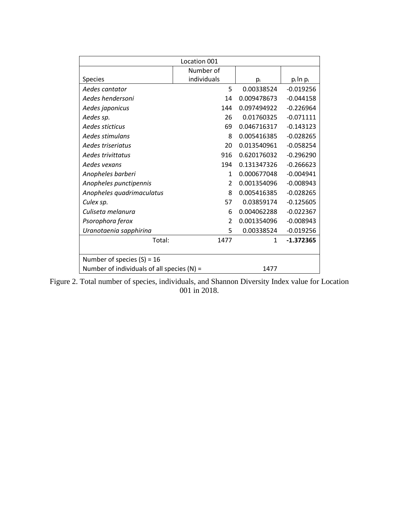| Location 001                                 |               |              |               |
|----------------------------------------------|---------------|--------------|---------------|
|                                              | Number of     |              |               |
| <b>Species</b>                               | individuals   | pi           | $p_i \ln p_i$ |
| Aedes cantator                               | 5             | 0.00338524   | $-0.019256$   |
| Aedes hendersoni                             | 14            | 0.009478673  | $-0.044158$   |
| Aedes japonicus                              | 144           | 0.097494922  | $-0.226964$   |
| Aedes sp.                                    | 26            | 0.01760325   | $-0.071111$   |
| Aedes sticticus                              | 69            | 0.046716317  | $-0.143123$   |
| Aedes stimulans                              | 8             | 0.005416385  | $-0.028265$   |
| Aedes triseriatus                            | 20            | 0.013540961  | $-0.058254$   |
| Aedes trivittatus                            | 916           | 0.620176032  | $-0.296290$   |
| Aedes vexans                                 | 194           | 0.131347326  | $-0.266623$   |
| Anopheles barberi                            | $\mathbf{1}$  | 0.000677048  | $-0.004941$   |
| Anopheles punctipennis                       | $\mathcal{P}$ | 0.001354096  | $-0.008943$   |
| Anopheles quadrimaculatus                    | 8             | 0.005416385  | $-0.028265$   |
| Culex sp.                                    | 57            | 0.03859174   | $-0.125605$   |
| Culiseta melanura                            | 6             | 0.004062288  | $-0.022367$   |
| Psorophora ferox                             | $\mathcal{P}$ | 0.001354096  | $-0.008943$   |
| Uranotaenia sapphirina                       | 5             | 0.00338524   | $-0.019256$   |
| Total:                                       | 1477          | $\mathbf{1}$ | $-1.372365$   |
|                                              |               |              |               |
| Number of species $(S) = 16$                 |               |              |               |
| Number of individuals of all species $(N)$ = |               | 1477         |               |

Figure 2. Total number of species, individuals, and Shannon Diversity Index value for Location 001 in 2018.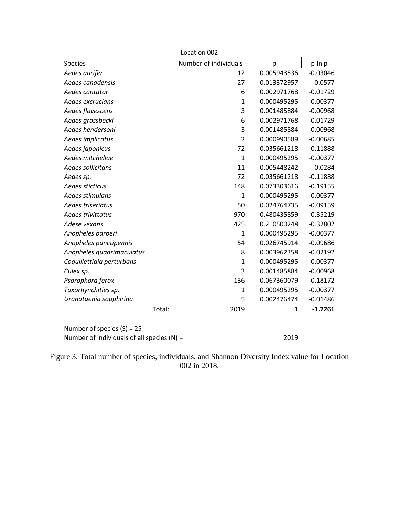| Location 002                                 |                       |             |               |
|----------------------------------------------|-----------------------|-------------|---------------|
| Species                                      | Number of individuals | $p_i$       | $p_i \ln p_i$ |
| Aedes aurifer                                | 12                    | 0.005943536 | $-0.03046$    |
| Aedes canadensis                             | 27                    | 0.013372957 | $-0.0577$     |
| Aedes cantator                               | 6                     | 0.002971768 | $-0.01729$    |
| Aedes excrucians                             | $\mathbf{1}$          | 0.000495295 | $-0.00377$    |
| Aedes flavescens                             | 3                     | 0.001485884 | $-0.00968$    |
| Aedes grossbecki                             | 6                     | 0.002971768 | $-0.01729$    |
| Aedes hendersoni                             | 3                     | 0.001485884 | $-0.00968$    |
| Aedes implicatus                             | $\overline{2}$        | 0.000990589 | $-0.00685$    |
| Aedes japonicus                              | 72                    | 0.035661218 | $-0.11888$    |
| Aedes mitchellae                             | $\mathbf{1}$          | 0.000495295 | $-0.00377$    |
| Aedes sollicitans                            | 11                    | 0.005448242 | $-0.0284$     |
| Aedes sp.                                    | 72                    | 0.035661218 | $-0.11888$    |
| Aedes sticticus                              | 148                   | 0.073303616 | $-0.19155$    |
| Aedes stimulans                              | $\mathbf{1}$          | 0.000495295 | $-0.00377$    |
| Aedes triseriatus                            | 50                    | 0.024764735 | $-0.09159$    |
| Aedes trivittatus                            | 970                   | 0.480435859 | $-0.35219$    |
| Adese vexans                                 | 425                   | 0.210500248 | $-0.32802$    |
| Anopheles barberi                            | $\mathbf{1}$          | 0.000495295 | $-0.00377$    |
| Anopheles punctipennis                       | 54                    | 0.026745914 | $-0.09686$    |
| Anopheles quadrimaculatus                    | 8                     | 0.003962358 | $-0.02192$    |
| Coquillettidia perturbans                    | $\mathbf{1}$          | 0.000495295 | $-0.00377$    |
| Culex sp.                                    | 3                     | 0.001485884 | $-0.00968$    |
| Psorophora ferox                             | 136                   | 0.067360079 | $-0.18172$    |
| Toxorhynchities sp.                          | $\mathbf{1}$          | 0.000495295 | $-0.00377$    |
| Uranotaenia sapphirina                       | 5                     | 0.002476474 | $-0.01486$    |
| Total:                                       | 2019                  | 1           | $-1.7261$     |
| Number of species $(S) = 25$                 |                       |             |               |
| Number of individuals of all species $(N)$ = |                       | 2019        |               |

Figure 3. Total number of species, individuals, and Shannon Diversity Index value for Location 002 in 2018.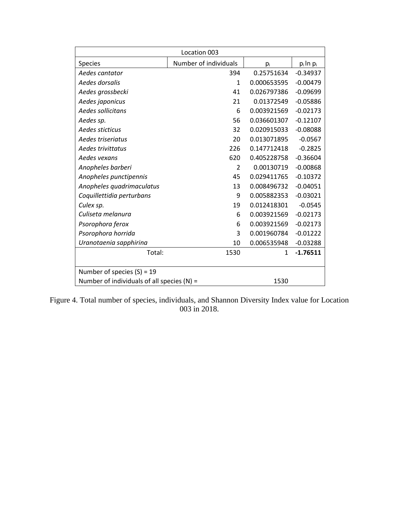| Location 003                                 |                       |             |               |
|----------------------------------------------|-----------------------|-------------|---------------|
| Species                                      | Number of individuals | $p_i$       | $p_i \ln p_i$ |
| Aedes cantator                               | 394                   | 0.25751634  | $-0.34937$    |
| Aedes dorsalis                               | 1                     | 0.000653595 | $-0.00479$    |
| Aedes grossbecki                             | 41                    | 0.026797386 | $-0.09699$    |
| Aedes japonicus                              | 21                    | 0.01372549  | $-0.05886$    |
| Aedes sollicitans                            | 6                     | 0.003921569 | $-0.02173$    |
| Aedes sp.                                    | 56                    | 0.036601307 | $-0.12107$    |
| Aedes sticticus                              | 32                    | 0.020915033 | $-0.08088$    |
| Aedes triseriatus                            | 20                    | 0.013071895 | $-0.0567$     |
| Aedes trivittatus                            | 226                   | 0.147712418 | $-0.2825$     |
| Aedes vexans                                 | 620                   | 0.405228758 | $-0.36604$    |
| Anopheles barberi                            | $\overline{2}$        | 0.00130719  | $-0.00868$    |
| Anopheles punctipennis                       | 45                    | 0.029411765 | $-0.10372$    |
| Anopheles quadrimaculatus                    | 13                    | 0.008496732 | $-0.04051$    |
| Coquillettidia perturbans                    | 9                     | 0.005882353 | $-0.03021$    |
| Culex sp.                                    | 19                    | 0.012418301 | $-0.0545$     |
| Culiseta melanura                            | 6                     | 0.003921569 | $-0.02173$    |
| Psorophora ferox                             | 6                     | 0.003921569 | $-0.02173$    |
| Psorophora horrida                           | 3                     | 0.001960784 | $-0.01222$    |
| Uranotaenia sapphirina                       | 10                    | 0.006535948 | $-0.03288$    |
| Total:                                       | 1530                  | 1           | $-1.76511$    |
|                                              |                       |             |               |
| Number of species $(S) = 19$                 |                       |             |               |
| Number of individuals of all species $(N)$ = |                       | 1530        |               |

Figure 4. Total number of species, individuals, and Shannon Diversity Index value for Location 003 in 2018.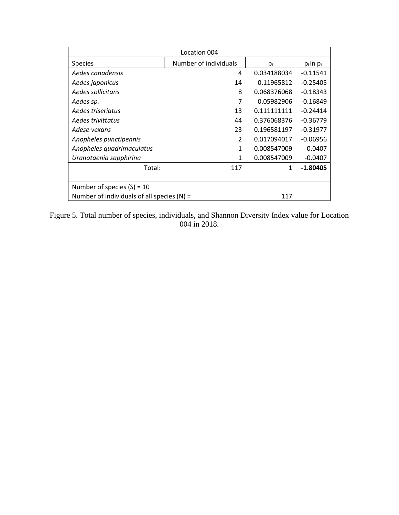| Location 004                                 |                       |             |               |
|----------------------------------------------|-----------------------|-------------|---------------|
| <b>Species</b>                               | Number of individuals | pi          | $p_i \ln p_i$ |
| Aedes canadensis                             | 4                     | 0.034188034 | $-0.11541$    |
| Aedes japonicus                              | 14                    | 0.11965812  | $-0.25405$    |
| Aedes sollicitans                            | 8                     | 0.068376068 | $-0.18343$    |
| Aedes sp.                                    | 7                     | 0.05982906  | $-0.16849$    |
| Aedes triseriatus                            | 13                    | 0.111111111 | $-0.24414$    |
| Aedes trivittatus                            | 44                    | 0.376068376 | $-0.36779$    |
| Adese vexans                                 | 23                    | 0.196581197 | $-0.31977$    |
| Anopheles punctipennis                       | $\mathfrak{p}$        | 0.017094017 | $-0.06956$    |
| Anopheles quadrimaculatus                    | $\mathbf{1}$          | 0.008547009 | $-0.0407$     |
| Uranotaenia sapphirina                       | $\mathbf{1}$          | 0.008547009 | $-0.0407$     |
| Total:                                       | 117                   | 1           | $-1.80405$    |
|                                              |                       |             |               |
| Number of species $(S) = 10$                 |                       |             |               |
| Number of individuals of all species $(N)$ = |                       | 117         |               |

Figure 5. Total number of species, individuals, and Shannon Diversity Index value for Location 004 in 2018.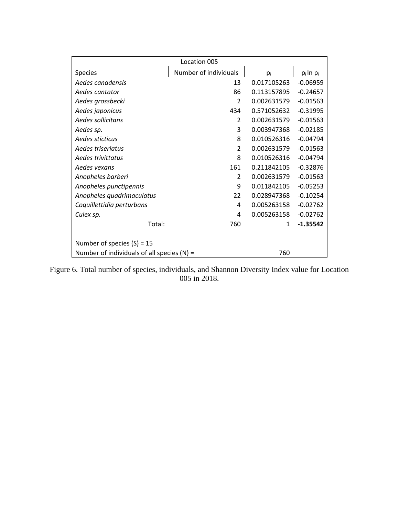| Location 005                                 |                       |             |               |
|----------------------------------------------|-----------------------|-------------|---------------|
| <b>Species</b>                               | Number of individuals | pi          | $p_i \ln p_i$ |
| Aedes canadensis                             | 13                    | 0.017105263 | $-0.06959$    |
| Aedes cantator                               | 86                    | 0.113157895 | $-0.24657$    |
| Aedes grossbecki                             | $\mathcal{P}$         | 0.002631579 | $-0.01563$    |
| Aedes japonicus                              | 434                   | 0.571052632 | $-0.31995$    |
| Aedes sollicitans                            | $\mathcal{P}$         | 0.002631579 | $-0.01563$    |
| Aedes sp.                                    | 3                     | 0.003947368 | $-0.02185$    |
| Aedes sticticus                              | 8                     | 0.010526316 | $-0.04794$    |
| Aedes triseriatus                            | $\mathcal{P}$         | 0.002631579 | $-0.01563$    |
| Aedes trivittatus                            | 8                     | 0.010526316 | $-0.04794$    |
| Aedes vexans                                 | 161                   | 0.211842105 | $-0.32876$    |
| Anopheles barberi                            | $\mathcal{P}$         | 0.002631579 | $-0.01563$    |
| Anopheles punctipennis                       | 9                     | 0.011842105 | $-0.05253$    |
| Anopheles quadrimaculatus                    | 22                    | 0.028947368 | $-0.10254$    |
| Coquillettidia perturbans                    | 4                     | 0.005263158 | $-0.02762$    |
| Culex sp.                                    | 4                     | 0.005263158 | $-0.02762$    |
| Total:                                       | 760                   | 1           | $-1.35542$    |
|                                              |                       |             |               |
| Number of species $(S) = 15$                 |                       |             |               |
| Number of individuals of all species $(N)$ = |                       | 760         |               |

Figure 6. Total number of species, individuals, and Shannon Diversity Index value for Location 005 in 2018.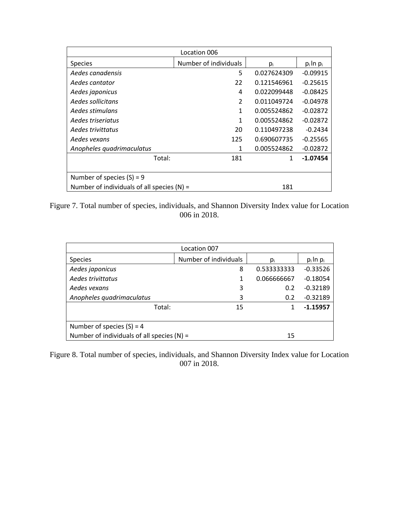| Location 006                                 |                       |             |               |  |
|----------------------------------------------|-----------------------|-------------|---------------|--|
| Species                                      | Number of individuals | $p_i$       | $p_i \ln p_i$ |  |
| Aedes canadensis                             | 5                     | 0.027624309 | $-0.09915$    |  |
| Aedes cantator                               | 22                    | 0.121546961 | $-0.25615$    |  |
| Aedes japonicus                              | 4                     | 0.022099448 | $-0.08425$    |  |
| Aedes sollicitans                            | $\mathcal{P}$         | 0.011049724 | $-0.04978$    |  |
| Aedes stimulans                              | 1                     | 0.005524862 | $-0.02872$    |  |
| Aedes triseriatus                            | 1                     | 0.005524862 | $-0.02872$    |  |
| Aedes trivittatus                            | 20                    | 0.110497238 | $-0.2434$     |  |
| Aedes vexans                                 | 125                   | 0.690607735 | $-0.25565$    |  |
| Anopheles quadrimaculatus                    | 1                     | 0.005524862 | $-0.02872$    |  |
| Total:                                       | 181                   | 1           | $-1.07454$    |  |
|                                              |                       |             |               |  |
| Number of species $(S) = 9$                  |                       |             |               |  |
| Number of individuals of all species $(N)$ = |                       | 181         |               |  |

Figure 7. Total number of species, individuals, and Shannon Diversity Index value for Location 006 in 2018.

| Location 007                                                                |                       |             |               |  |
|-----------------------------------------------------------------------------|-----------------------|-------------|---------------|--|
| <b>Species</b>                                                              | Number of individuals | pi          | $p_i \ln p_i$ |  |
| Aedes japonicus                                                             | 8                     | 0.533333333 | $-0.33526$    |  |
| Aedes trivittatus                                                           |                       | 0.066666667 | $-0.18054$    |  |
| Aedes vexans                                                                | 3                     | 0.2         | $-0.32189$    |  |
| Anopheles quadrimaculatus                                                   | 3                     | 0.2         | $-0.32189$    |  |
| Total:                                                                      | 15                    |             | $-1.15957$    |  |
| Number of species $(S) = 4$<br>Number of individuals of all species $(N)$ = |                       | 15          |               |  |

Figure 8. Total number of species, individuals, and Shannon Diversity Index value for Location 007 in 2018.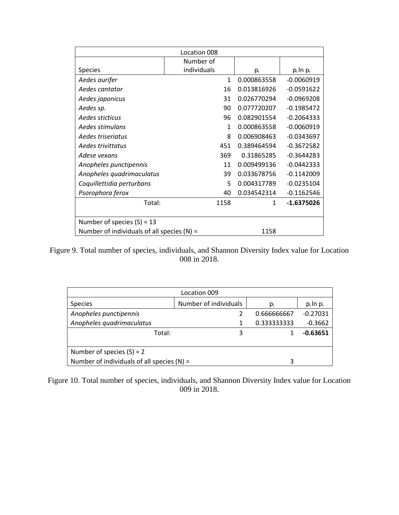| Location 008                                 |              |              |               |
|----------------------------------------------|--------------|--------------|---------------|
|                                              | Number of    |              |               |
| <b>Species</b>                               | individuals  | pi           | $p_i \ln p_i$ |
| Aedes aurifer                                | $\mathbf{1}$ | 0.000863558  | $-0.0060919$  |
| Aedes cantator                               | 16           | 0.013816926  | $-0.0591622$  |
| Aedes japonicus                              | 31           | 0.026770294  | $-0.0969208$  |
| Aedes sp.                                    | 90           | 0.077720207  | $-0.1985472$  |
| Aedes sticticus                              | 96           | 0.082901554  | $-0.2064333$  |
| Aedes stimulans                              | $\mathbf{1}$ | 0.000863558  | $-0.0060919$  |
| Aedes triseriatus                            | 8            | 0.006908463  | $-0.0343697$  |
| Aedes trivittatus                            | 451          | 0.389464594  | $-0.3672582$  |
| Adese vexans                                 | 369          | 0.31865285   | $-0.3644283$  |
| Anopheles punctipennis                       | 11           | 0.009499136  | $-0.0442333$  |
| Anopheles quadrimaculatus                    | 39           | 0.033678756  | $-0.1142009$  |
| Coquillettidia perturbans                    | 5            | 0.004317789  | $-0.0235104$  |
| Psorophora ferox                             | 40           | 0.034542314  | $-0.1162546$  |
| Total:                                       | 1158         | $\mathbf{1}$ | $-1.6375026$  |
|                                              |              |              |               |
| Number of species $(S) = 13$                 |              |              |               |
| Number of individuals of all species $(N)$ = |              | 1158         |               |

Figure 9. Total number of species, individuals, and Shannon Diversity Index value for Location 008 in 2018.

| Location 009                                 |                       |             |               |  |
|----------------------------------------------|-----------------------|-------------|---------------|--|
| <b>Species</b>                               | Number of individuals | $p_i$       | $p_i \ln p_i$ |  |
| Anopheles punctipennis                       |                       | 0.666666667 | $-0.27031$    |  |
| Anopheles quadrimaculatus                    |                       | 0.333333333 | $-0.3662$     |  |
| Total:                                       | 3                     |             | $-0.63651$    |  |
|                                              |                       |             |               |  |
| Number of species $(S) = 2$                  |                       |             |               |  |
| Number of individuals of all species $(N)$ = |                       |             |               |  |

Figure 10. Total number of species, individuals, and Shannon Diversity Index value for Location 009 in 2018.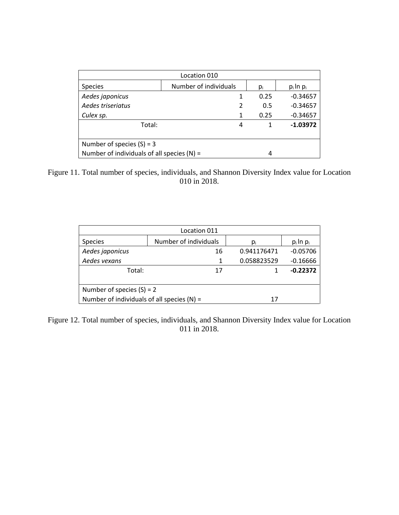| Location 010                                 |                       |      |               |  |
|----------------------------------------------|-----------------------|------|---------------|--|
| <b>Species</b>                               | Number of individuals | pi   | $p_i \ln p_i$ |  |
| Aedes japonicus                              | 1                     | 0.25 | $-0.34657$    |  |
| Aedes triseriatus                            | 2                     | 0.5  | $-0.34657$    |  |
| Culex sp.                                    | 1                     | 0.25 | $-0.34657$    |  |
| Total:                                       | 4                     |      | $-1.03972$    |  |
| Number of species $(S) = 3$                  |                       |      |               |  |
| Number of individuals of all species $(N)$ = |                       |      |               |  |

Figure 11. Total number of species, individuals, and Shannon Diversity Index value for Location 010 in 2018.

| Location 011                                 |                       |             |               |  |
|----------------------------------------------|-----------------------|-------------|---------------|--|
| <b>Species</b>                               | Number of individuals | $p_i$       | $p_i \ln p_i$ |  |
| Aedes japonicus                              | 16                    | 0.941176471 | $-0.05706$    |  |
| Aedes vexans                                 | 1                     | 0.058823529 | $-0.16666$    |  |
| Total:                                       | 17                    |             | $-0.22372$    |  |
|                                              |                       |             |               |  |
| Number of species $(S) = 2$                  |                       |             |               |  |
| Number of individuals of all species $(N)$ = |                       | 17          |               |  |

Figure 12. Total number of species, individuals, and Shannon Diversity Index value for Location 011 in 2018.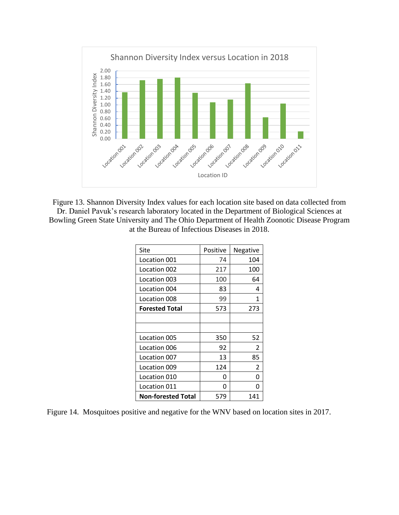

Figure 13. Shannon Diversity Index values for each location site based on data collected from Dr. Daniel Pavuk's research laboratory located in the Department of Biological Sciences at Bowling Green State University and The Ohio Department of Health Zoonotic Disease Program at the Bureau of Infectious Diseases in 2018.

| Site                      | Positive | Negative |
|---------------------------|----------|----------|
| Location 001              | 74       | 104      |
| Location 002              | 217      | 100      |
| Location 003              | 100      | 64       |
| Location 004              | 83       | 4        |
| Location 008              | 99       | 1        |
| <b>Forested Total</b>     | 573      | 273      |
|                           |          |          |
|                           |          |          |
| Location 005              | 350      | 52       |
| Location 006              | 92       | 2        |
| Location 007              | 13       | 85       |
| Location 009              | 124      | 2        |
| Location 010              | O        | n        |
| Location 011              | 0        | O        |
| <b>Non-forested Total</b> | 579      | 141      |

Figure 14. Mosquitoes positive and negative for the WNV based on location sites in 2017.